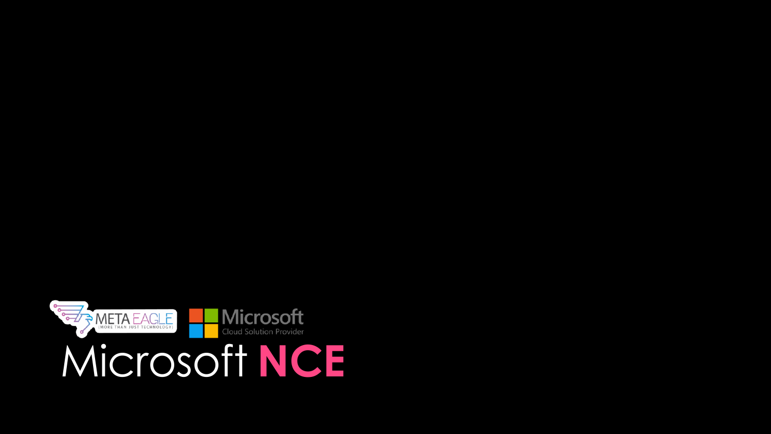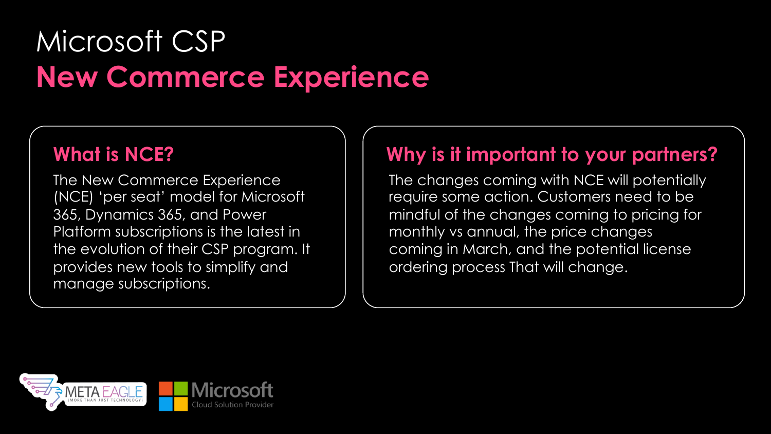# Microsoft CSP **New Commerce Experience**

# **What is NCE?**

The New Commerce Experience (NCE) 'per seat' model for Microsoft 365, Dynamics 365, and Power Platform subscriptions is the latest in the evolution of their CSP program. It provides new tools to simplify and manage subscriptions.

# **Why is it important to your partners?**

The changes coming with NCE will potentially require some action. Customers need to be mindful of the changes coming to pricing for monthly vs annual, the price changes coming in March, and the potential license ordering process That will change.

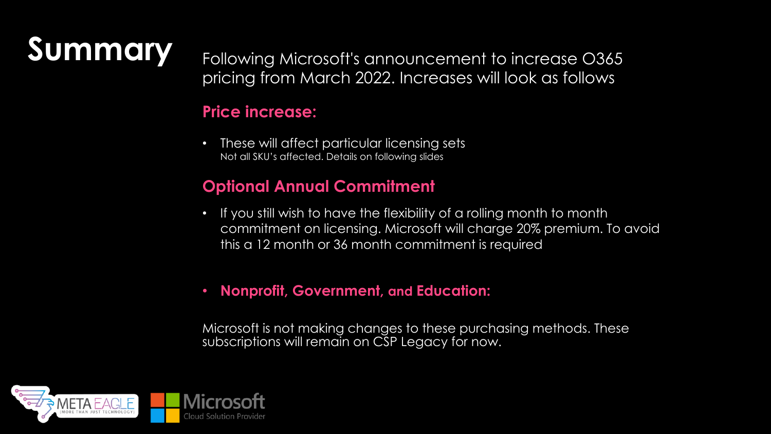**Summary** Following Microsoft's announcement to increase O365 pricing from March 2022. Increases will look as follows

### **Price increase:**

• These will affect particular licensing sets Not all SKU's affected. Details on following slides

### **Optional Annual Commitment**

- If you still wish to have the flexibility of a rolling month to month commitment on licensing. Microsoft will charge 20% premium. To avoid this a 12 month or 36 month commitment is required
- **Nonprofit, Government, and Education:**

Microsoft is not making changes to these purchasing methods. These subscriptions will remain on CSP Legacy for now.

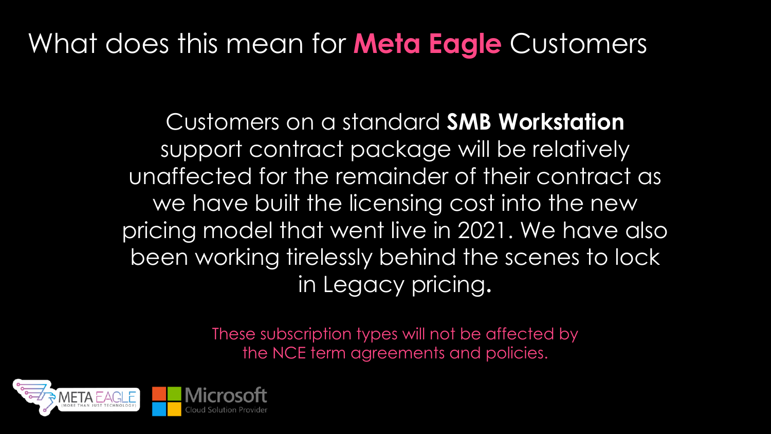# What does this mean for **Meta Eagle** Customers

Customers on a standard **SMB Workstation**  support contract package will be relatively unaffected for the remainder of their contract as we have built the licensing cost into the new pricing model that went live in 2021. We have also been working tirelessly behind the scenes to lock in Legacy pricing**.**

> These subscription types will not be affected by the NCE term agreements and policies.

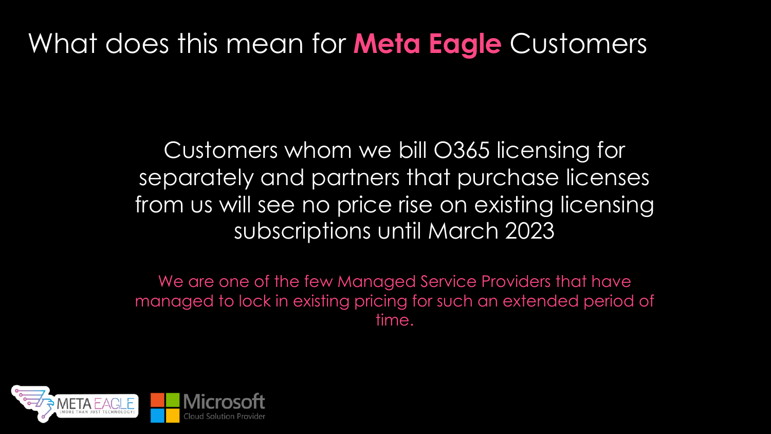# What does this mean for **Meta Eagle** Customers

Customers whom we bill O365 licensing for separately and partners that purchase licenses from us will see no price rise on existing licensing subscriptions until March 2023

We are one of the few Managed Service Providers that have managed to lock in existing pricing for such an extended period of time.

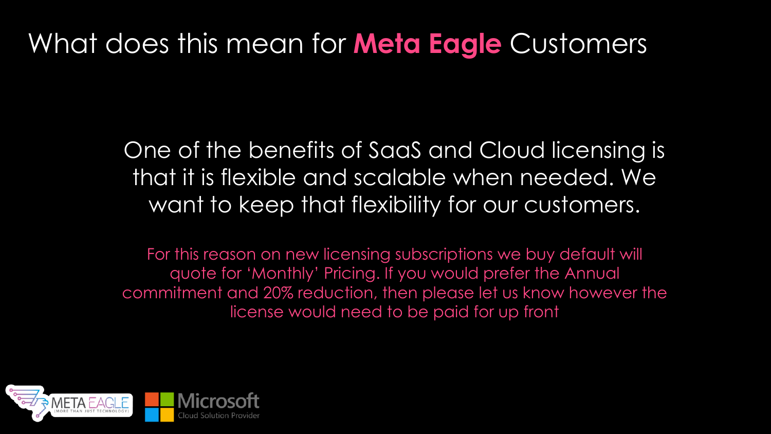# What does this mean for **Meta Eagle** Customers

One of the benefits of SaaS and Cloud licensing is that it is flexible and scalable when needed. We want to keep that flexibility for our customers.

For this reason on new licensing subscriptions we buy default will quote for 'Monthly' Pricing. If you would prefer the Annual commitment and 20% reduction, then please let us know however the license would need to be paid for up front

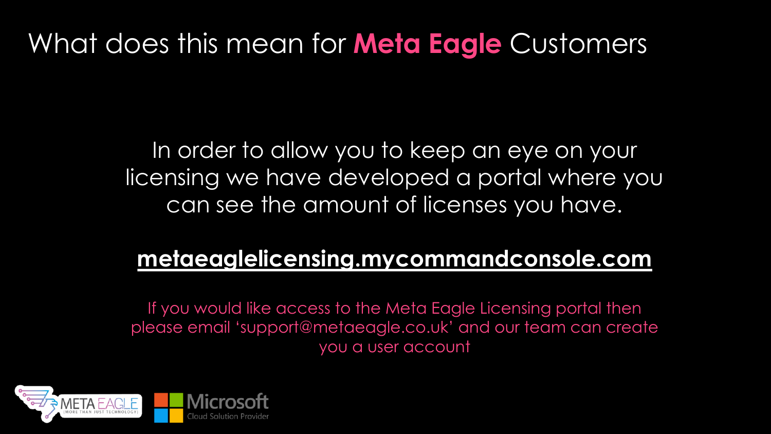# What d[oes this mean for](http://metaeaglelicensing.mycommandconsole.com/) **Meta Eagle**

In order to allow you to keep an licensing we have developed a p can see the amount of license

# **metaeaglelicensing.mycomman**

If you would like access to the Meta Eagle Li please email 'support@metaeagle.co.uk' and you a user account

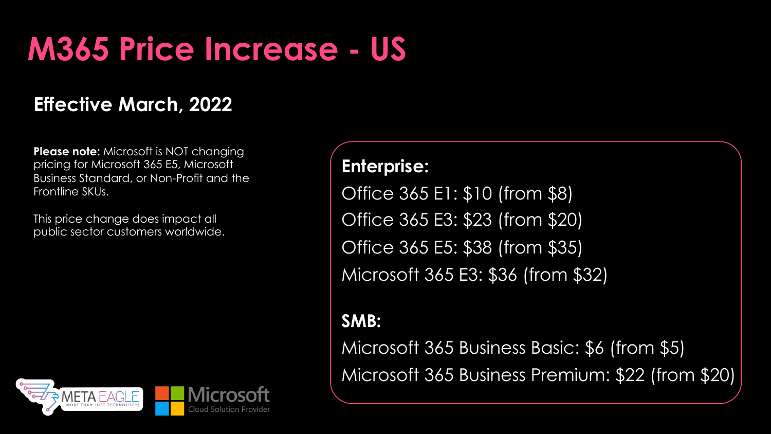# **M365 Price Increase - US**

# **Effective March, 2022**

**Please note:** Microsoft is NOT changing pricing for Microsoft 365 E5, Microsoft Business Standard, or Non-Profit and the Frontline SKUs.

This price change does impact all public sector customers worldwide.



### **Enterprise:**

Office 365 E1: \$10 (from \$8) Office 365 E3: \$23 (from \$20) Office 365 E5: \$38 (from \$35) Microsoft 365 E3: \$36 (from \$32)

### **SMB:**

Microsoft 365 Business Basic: \$6 (from \$5) Microsoft 365 Business Premium: \$22 (from \$20)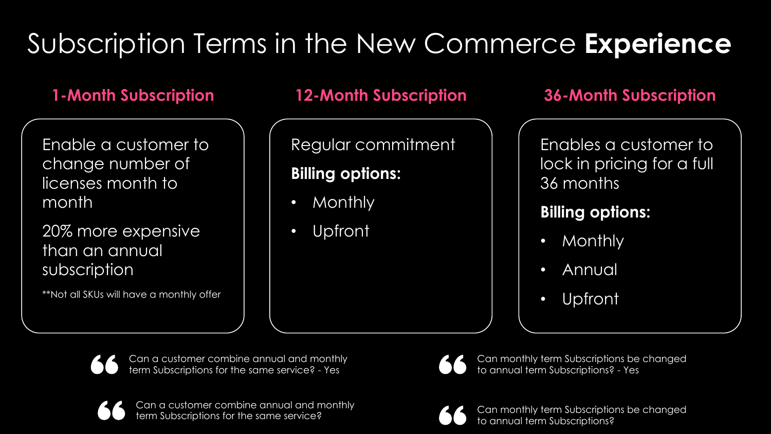# Subscription Terms in the New Commerce **Experience**

Enable a customer to change number of licenses month to month

20% more expensive than an annual subscription

\*\*Not all SKUs will have a monthly offer

### **1-Month Subscription 12-Month Subscription 36-Month Subscription**

Regular commitment

## **Billing options:**

- Monthly
- Upfront

Enables a customer to lock in pricing for a full 36 months

## **Billing options:**

- Monthly
- Annual
- Upfront

Can a customer combine annual and monthly term Subscriptions for the same service? - Yes

Can a customer combine annual and monthly



Can monthly term Subscriptions be changed to annual term Subscriptions? - Yes



term Subscriptions for the same service? Can monthly term Subscriptions be changed to annual term Subscriptions?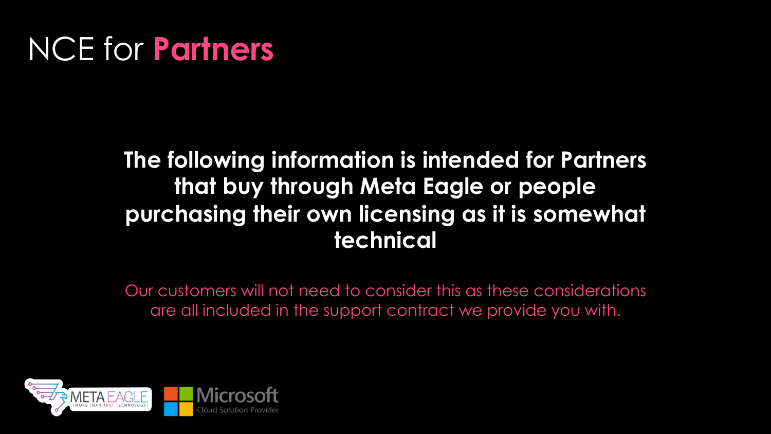# NCE for **Partners**

# **The following information is intended for Partners that buy through Meta Eagle or people purchasing their own licensing as it is somewhat technical**

Our customers will not need to consider this as these considerations are all included in the support contract we provide you with.

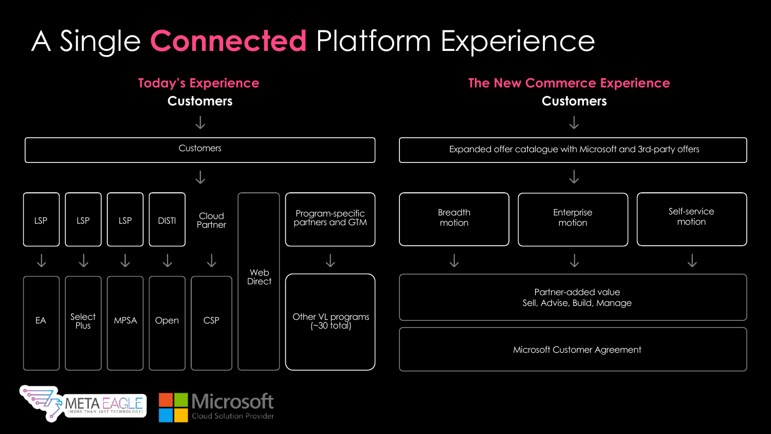# A Single **Connected** Platform Experience



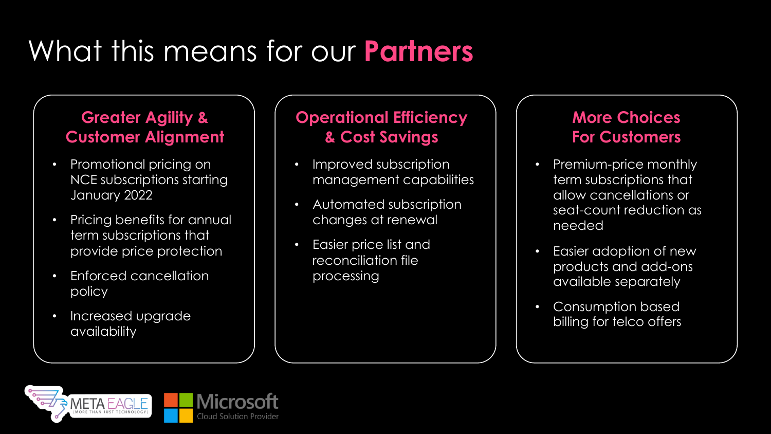# What this means for our **Partners**

### **Greater Agility & Customer Alignment**

- Promotional pricing on NCE subscriptions starting January 2022
- Pricing benefits for annual term subscriptions that provide price protection
- Enforced cancellation policy
- Increased upgrade availability

### **Operational Efficiency & Cost Savings**

- Improved subscription management capabilities
- Automated subscription changes at renewal
- Easier price list and reconciliation file processing

### **More Choices For Customers**

- Premium-price monthly term subscriptions that allow cancellations or seat-count reduction as needed
- Easier adoption of new products and add-ons available separately
- Consumption based billing for telco offers

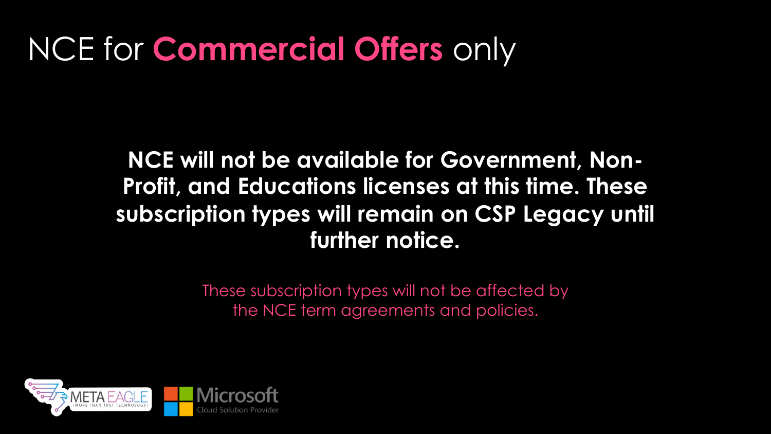# NCE for **Commercial Offers** only

# **NCE will not be available for Government, Non-Profit, and Educations licenses at this time. These subscription types will remain on CSP Legacy until further notice.**

These subscription types will not be affected by the NCE term agreements and policies.

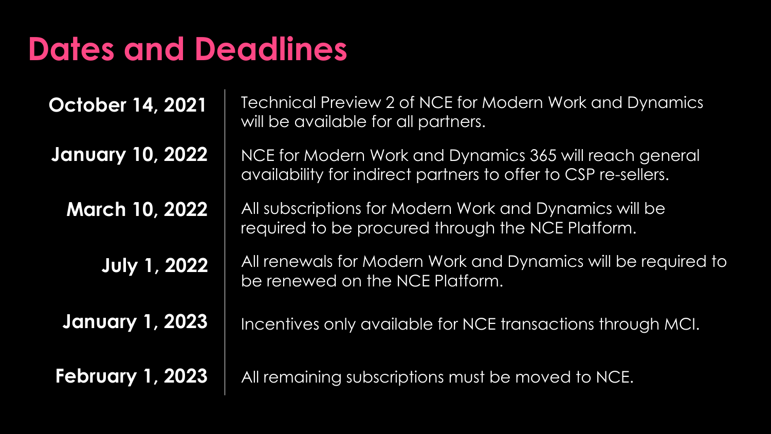# **Dates and Deadlines**

**October 14, 2021**

**January 10, 2022**

**March 10, 2022**

**July 1, 2022**

**January 1, 2023**

**February 1, 2023**

Technical Preview 2 of NCE for Modern Work and Dynamics will be available for all partners.

NCE for Modern Work and Dynamics 365 will reach general availability for indirect partners to offer to CSP re-sellers.

All subscriptions for Modern Work and Dynamics will be required to be procured through the NCE Platform.

All renewals for Modern Work and Dynamics will be required to be renewed on the NCE Platform.

Incentives only available for NCE transactions through MCI.

All remaining subscriptions must be moved to NCE.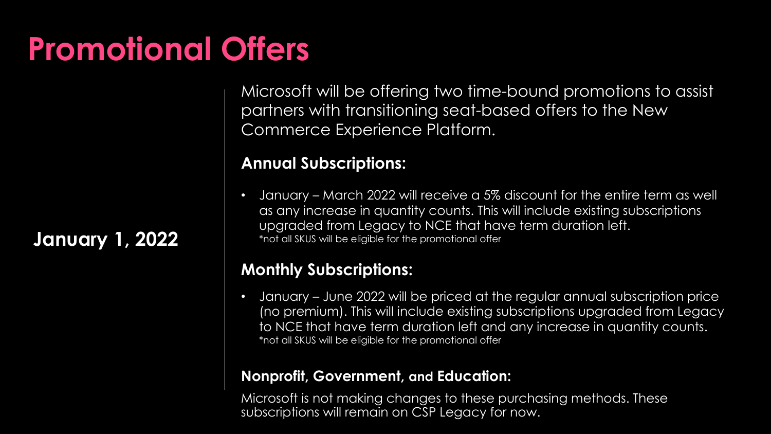# **January 1, 2022**

**Promotional Offers**

Microsoft will be offering two time-bound promotions to assist partners with transitioning seat-based offers to the New Commerce Experience Platform.

#### **Annual Subscriptions:**

• January – March 2022 will receive a 5% discount for the entire term as well as any increase in quantity counts. This will include existing subscriptions upgraded from Legacy to NCE that have term duration left. \*not all SKUS will be eligible for the promotional offer

### **Monthly Subscriptions:**

• January – June 2022 will be priced at the regular annual subscription price (no premium). This will include existing subscriptions upgraded from Legacy to NCE that have term duration left and any increase in quantity counts. \*not all SKUS will be eligible for the promotional offer

#### **Nonprofit, Government, and Education:**

Microsoft is not making changes to these purchasing methods. These subscriptions will remain on CSP Legacy for now.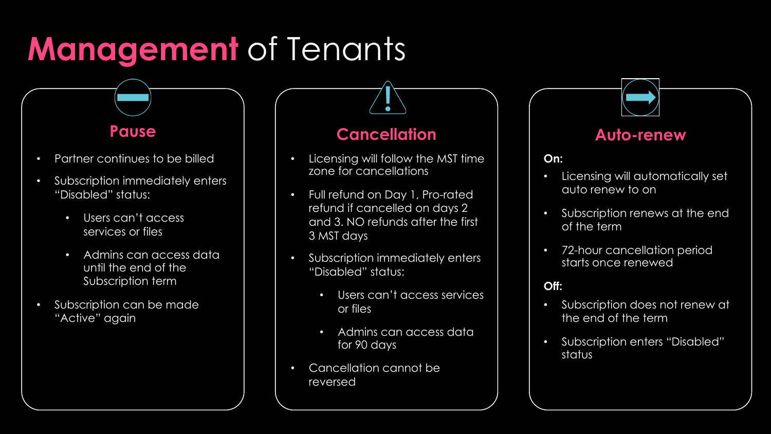# **Management** of Tenants

### **Pause**

- Partner continues to be billed
- Subscription immediately enters "Disabled" status:
	- Users can't access services or files
	- Admins can access data until the end of the Subscription term
- Subscription can be made "Active" again

### **Cancellation**

- Licensing will follow the MST time zone for cancellations
- Full refund on Day 1, Pro-rated refund if cancelled on days 2 and 3. NO refunds after the first 3 MST days
- Subscription immediately enters "Disabled" status:
	- Users can't access services or files
	- Admins can access data for 90 days
- Cancellation cannot be reversed

### **Auto-renew**

#### **On:**

- Licensing will automatically set auto renew to on
- Subscription renews at the end of the term
- 72-hour cancellation period starts once renewed

#### **Off:**

- Subscription does not renew at the end of the term
- Subscription enters "Disabled" status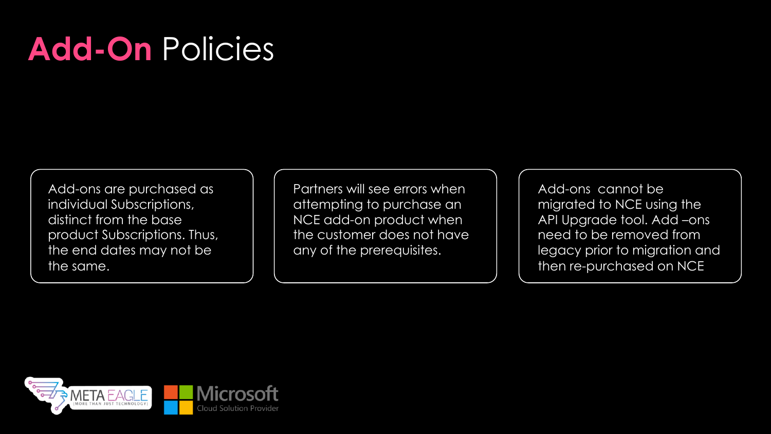# **Add-On** Policies

Add-ons are purchased as individual Subscriptions, distinct from the base product Subscriptions. Thus, the end dates may not be the same.

Partners will see errors when attempting to purchase an NCE add-on product when the customer does not have any of the prerequisites.

Add-ons cannot be migrated to NCE using the API Upgrade tool. Add –ons need to be removed from legacy prior to migration and then re-purchased on NCE

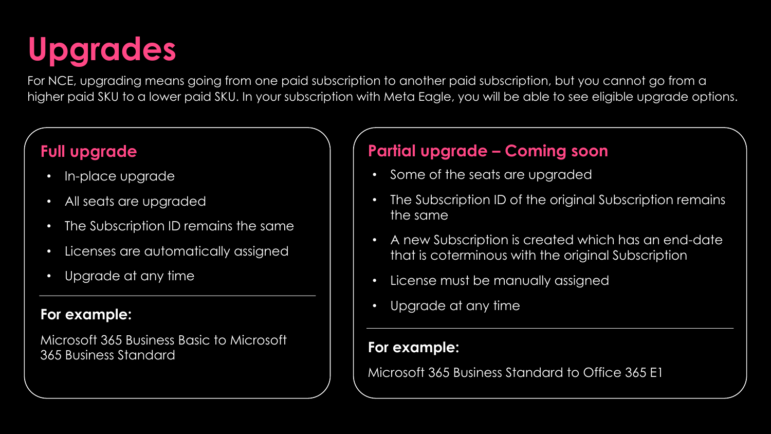# **Upgrades**

For NCE, upgrading means going from one paid subscription to another paid subscription, but you cannot go from a higher paid SKU to a lower paid SKU. In your subscription with Meta Eagle, you will be able to see eligible upgrade options.

### **Full upgrade**

- In-place upgrade
- All seats are upgraded
- The Subscription ID remains the same
- Licenses are automatically assigned
- Upgrade at any time

#### **For example:**

Microsoft 365 Business Basic to Microsoft 365 Business Standard

### **Partial upgrade – Coming soon**

- Some of the seats are upgraded
- The Subscription ID of the original Subscription remains the same
- A new Subscription is created which has an end-date that is coterminous with the original Subscription
- License must be manually assigned
- Upgrade at any time

### **For example:**

Microsoft 365 Business Standard to Office 365 E1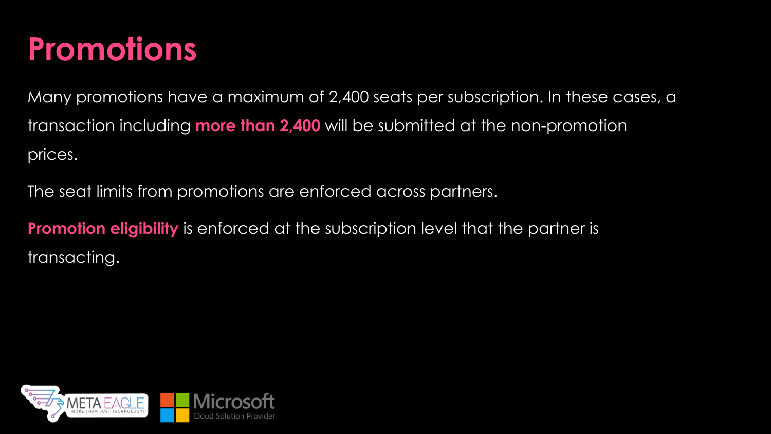# **Promotions**

Many promotions have a maximum of 2,400 seats per subscription. In these cases, a transaction including **more than 2,400** will be submitted at the non-promotion prices.

The seat limits from promotions are enforced across partners.

**Promotion eligibility** is enforced at the subscription level that the partner is transacting.

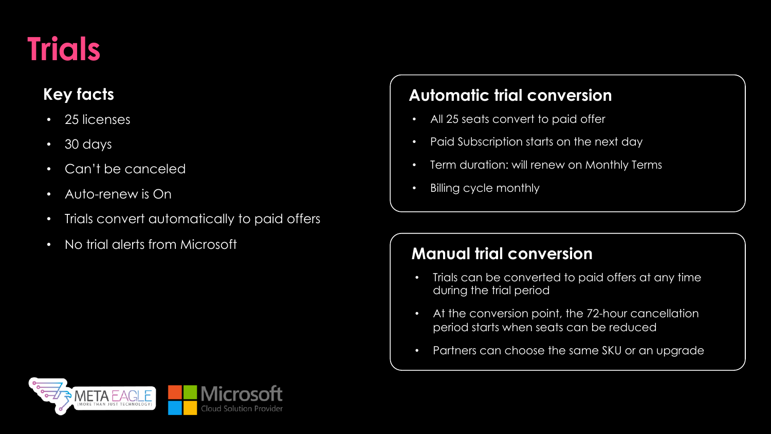# **Trials**

## **Key facts**

- 25 licenses
- 30 days
- Can't be canceled
- Auto-renew is On
- Trials convert automatically to paid offers
- No trial alerts from Microsoft

### **Automatic trial conversion**

- All 25 seats convert to paid offer
- Paid Subscription starts on the next day
- Term duration: will renew on Monthly Terms
- Billing cycle monthly

### **Manual trial conversion**

- Trials can be converted to paid offers at any time during the trial period
- At the conversion point, the 72-hour cancellation period starts when seats can be reduced
- Partners can choose the same SKU or an upgrade

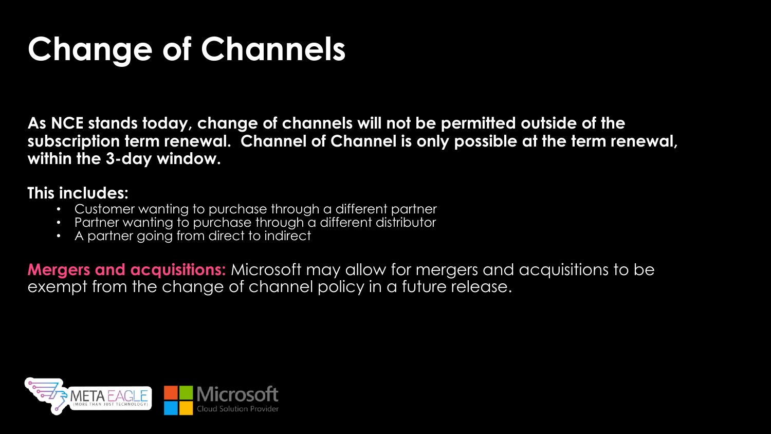# **Change of Channels**

**As NCE stands today, change of channels will not be permitted outside of the subscription term renewal. Channel of Channel is only possible at the term renewal, within the 3-day window.**

### **This includes:**

- Customer wanting to purchase through a different partner
- Partner wanting to purchase through a different distributor
- A partner going from direct to indirect

**Mergers and acquisitions:** Microsoft may allow for mergers and acquisitions to be exempt from the change of channel policy in a future release.

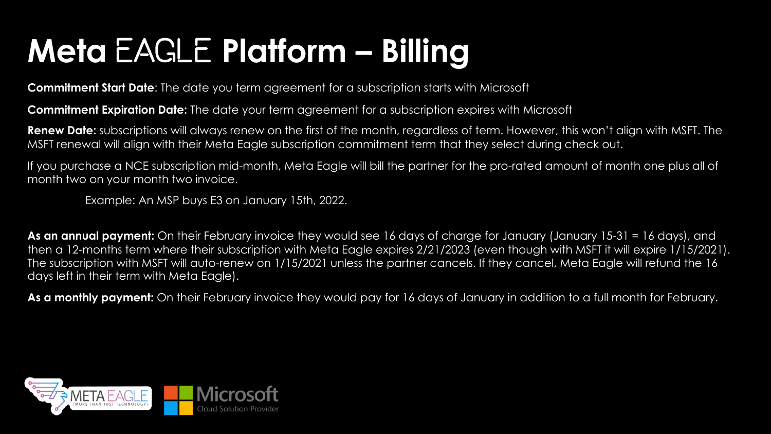# **Meta** Eagle **Platform – Billing**

**Commitment Start Date**: The date you term agreement for a subscription starts with Microsoft

**Commitment Expiration Date:** The date your term agreement for a subscription expires with Microsoft

**Renew Date:** subscriptions will always renew on the first of the month, regardless of term. However, this won't align with MSFT. The MSFT renewal will align with their Meta Eagle subscription commitment term that they select during check out.

If you purchase a NCE subscription mid-month, Meta Eagle will bill the partner for the pro-rated amount of month one plus all of month two on your month two invoice.

Example: An MSP buys E3 on January 15th, 2022.

As an annual payment: On their February invoice they would see 16 days of charge for January (January 15-31 = 16 days), and then a 12-months term where their subscription with Meta Eagle expires 2/21/2023 (even though with MSFT it will expire 1/15/2021). The subscription with MSFT will auto-renew on 1/15/2021 unless the partner cancels. If they cancel, Meta Eagle will refund the 16 days left in their term with Meta Eagle).

**As a monthly payment:** On their February invoice they would pay for 16 days of January in addition to a full month for February.